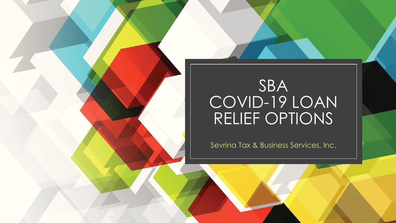# SBA COVID-19 LOAN RELIEF OPTIONS

Sevrina Tax & Business Services, Inc.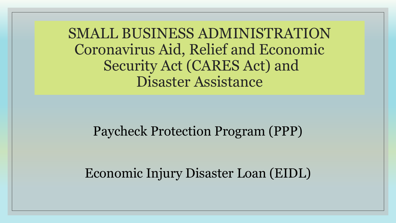SMALL BUSINESS ADMINISTRATION Coronavirus Aid, Relief and Economic Security Act (CARES Act) and Disaster Assistance

### Paycheck Protection Program (PPP)

Economic Injury Disaster Loan (EIDL)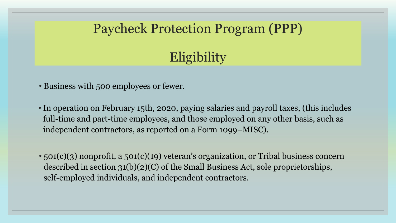**Eligibility** 

- Business with 500 employees or fewer.
- In operation on February 15th, 2020, paying salaries and payroll taxes, (this includes full-time and part-time employees, and those employed on any other basis, such as independent contractors, as reported on a Form 1099–MISC).
- 501(c)(3) nonprofit, a 501(c)(19) veteran's organization, or Tribal business concern described in section 31(b)(2)(C) of the Small Business Act, sole proprietorships, self-employed individuals, and independent contractors.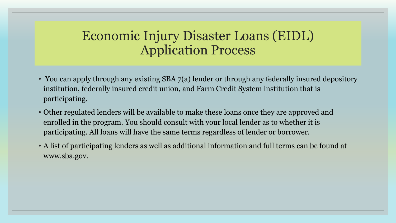## Economic Injury Disaster Loans (EIDL) Application Process

- You can apply through any existing SBA 7(a) lender or through any federally insured depository institution, federally insured credit union, and Farm Credit System institution that is participating.
- Other regulated lenders will be available to make these loans once they are approved and enrolled in the program. You should consult with your local lender as to whether it is participating. All loans will have the same terms regardless of lender or borrower.
- A list of participating lenders as well as additional information and full terms can be found at www.sba.gov.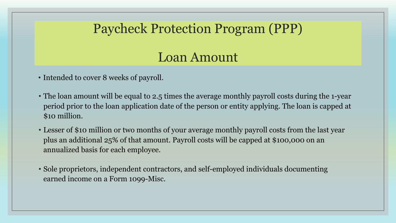# Loan Amount

- Intended to cover 8 weeks of payroll.
- The loan amount will be equal to 2.5 times the average monthly payroll costs during the 1-year period prior to the loan application date of the person or entity applying. The loan is capped at \$10 million.
- Lesser of \$10 million or two months of your average monthly payroll costs from the last year plus an additional 25% of that amount. Payroll costs will be capped at \$100,000 on an annualized basis for each employee.
- Sole proprietors, independent contractors, and self-employed individuals documenting earned income on a Form 1099-Misc.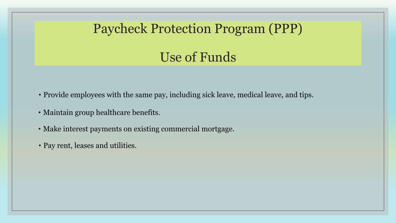# Use of Funds

- Provide employees with the same pay, including sick leave, medical leave, and tips.
- Maintain group healthcare benefits.
- Make interest payments on existing commercial mortgage.
- Pay rent, leases and utilities.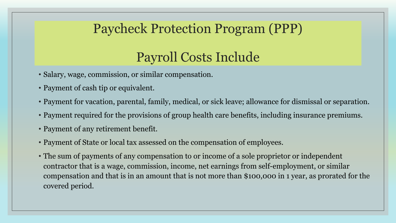# Payroll Costs Include

- Salary, wage, commission, or similar compensation.
- Payment of cash tip or equivalent.
- Payment for vacation, parental, family, medical, or sick leave; allowance for dismissal or separation.
- Payment required for the provisions of group health care benefits, including insurance premiums.
- Payment of any retirement benefit.
- Payment of State or local tax assessed on the compensation of employees.
- The sum of payments of any compensation to or income of a sole proprietor or independent contractor that is a wage, commission, income, net earnings from self-employment, or similar compensation and that is in an amount that is not more than \$100,000 in 1 year, as prorated for the covered period.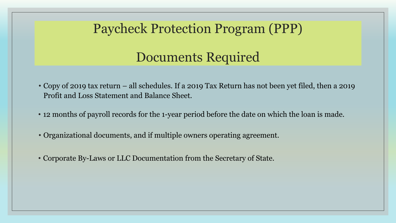# Documents Required

- Copy of 2019 tax return all schedules. If a 2019 Tax Return has not been yet filed, then a 2019 Profit and Loss Statement and Balance Sheet.
- 12 months of payroll records for the 1-year period before the date on which the loan is made.
- Organizational documents, and if multiple owners operating agreement.
- Corporate By-Laws or LLC Documentation from the Secretary of State.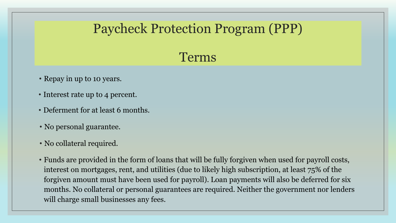# Terms

- Repay in up to 10 years.
- Interest rate up to 4 percent.
- Deferment for at least 6 months.
- No personal guarantee.
- No collateral required.
- Funds are provided in the form of loans that will be fully forgiven when used for payroll costs, interest on mortgages, rent, and utilities (due to likely high subscription, at least 75% of the forgiven amount must have been used for payroll). Loan payments will also be deferred for six months. No collateral or personal guarantees are required. Neither the government nor lenders will charge small businesses any fees.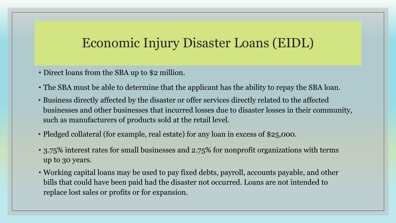## Economic Injury Disaster Loans (EIDL)

- Direct loans from the SBA up to \$2 million.
- The SBA must be able to determine that the applicant has the ability to repay the SBA loan.
- Business directly affected by the disaster or offer services directly related to the affected businesses and other businesses that incurred losses due to disaster losses in their community, such as manufacturers of products sold at the retail level.
- Pledged collateral (for example, real estate) for any loan in excess of \$25,000.
- 3.75% interest rates for small businesses and 2.75% for nonprofit organizations with terms up to 30 years.
- Working capital loans may be used to pay fixed debts, payroll, accounts payable, and other bills that could have been paid had the disaster not occurred. Loans are not intended to replace lost sales or profits or for expansion.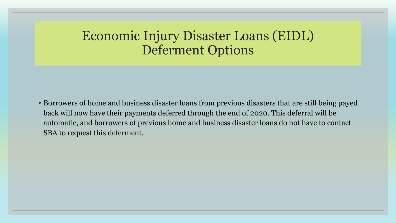### Economic Injury Disaster Loans (EIDL) Deferment Options

• Borrowers of home and business disaster loans from previous disasters that are still being payed back will now have their payments deferred through the end of 2020. This deferral will be automatic, and borrowers of previous home and business disaster loans do not have to contact SBA to request this deferment.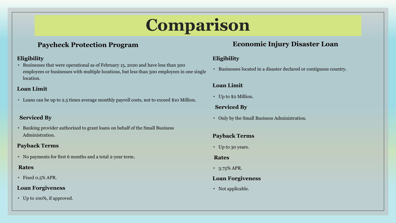# **Comparison**

#### **Paycheck Protection Program**

#### **Eligibility**

• Businesses that were operational as of February 15, 2020 and have less than 500 employees or businesses with multiple locations, but less than 500 employees in one single location.

#### **Loan Limit**

• Loans can be up to 2.5 times average monthly payroll costs, not to exceed \$10 Million.

#### **Serviced By**

• Banking provider authorized to grant loans on behalf of the Small Business Administration.

#### **Payback Terms**

• No payments for first 6 months and a total 2-year term.

#### **Rates**

• Fixed 0.5% APR.

#### **Loan Forgiveness**

• Up to 100%, if approved.

#### **Economic Injury Disaster Loan**

#### **Eligibility**

• Businesses located in a disaster declared or contiguous country.

#### **Loan Limit**

• Up to \$2 Million.

#### **Serviced By**

• Only by the Small Business Administration.

#### **Payback Terms**

• Up to 30 years.

#### **Rates**

• 3.75% APR.

#### **Loan Forgiveness**

• Not applicable.